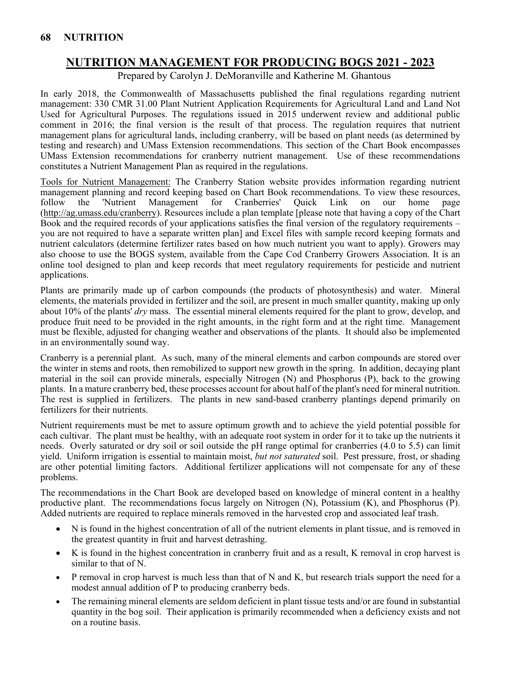# **NUTRITION MANAGEMENT FOR PRODUCING BOGS 2021 - 2023**

Prepared by Carolyn J. DeMoranville and Katherine M. Ghantous

In early 2018, the Commonwealth of Massachusetts published the final regulations regarding nutrient management: 330 CMR 31.00 Plant Nutrient Application Requirements for Agricultural Land and Land Not Used for Agricultural Purposes. The regulations issued in 2015 underwent review and additional public comment in 2016; the final version is the result of that process. The regulation requires that nutrient management plans for agricultural lands, including cranberry, will be based on plant needs (as determined by testing and research) and UMass Extension recommendations. This section of the Chart Book encompasses UMass Extension recommendations for cranberry nutrient management. Use of these recommendations constitutes a Nutrient Management Plan as required in the regulations.

Tools for Nutrient Management: The Cranberry Station website provides information regarding nutrient management planning and record keeping based on Chart Book recommendations. To view these resources, follow the 'Nutrient Management for Cranberries' Quick Link on our home page [\(http://ag.umass.edu/cranberry\)](http://ag.umass.edu/cranberry). Resources include a plan template [please note that having a copy of the Chart Book and the required records of your applications satisfies the final version of the regulatory requirements – you are not required to have a separate written plan] and Excel files with sample record keeping formats and nutrient calculators (determine fertilizer rates based on how much nutrient you want to apply). Growers may also choose to use the BOGS system, available from the Cape Cod Cranberry Growers Association. It is an online tool designed to plan and keep records that meet regulatory requirements for pesticide and nutrient applications.

Plants are primarily made up of carbon compounds (the products of photosynthesis) and water. Mineral elements, the materials provided in fertilizer and the soil, are present in much smaller quantity, making up only about 10% of the plants' *dry* mass. The essential mineral elements required for the plant to grow, develop, and produce fruit need to be provided in the right amounts, in the right form and at the right time. Management must be flexible, adjusted for changing weather and observations of the plants. It should also be implemented in an environmentally sound way.

Cranberry is a perennial plant. As such, many of the mineral elements and carbon compounds are stored over the winter in stems and roots, then remobilized to support new growth in the spring. In addition, decaying plant material in the soil can provide minerals, especially Nitrogen (N) and Phosphorus (P), back to the growing plants. In a mature cranberry bed, these processes account for about half of the plant's need for mineral nutrition. The rest is supplied in fertilizers. The plants in new sand-based cranberry plantings depend primarily on fertilizers for their nutrients.

Nutrient requirements must be met to assure optimum growth and to achieve the yield potential possible for each cultivar. The plant must be healthy, with an adequate root system in order for it to take up the nutrients it needs. Overly saturated or dry soil or soil outside the pH range optimal for cranberries (4.0 to 5.5) can limit yield. Uniform irrigation is essential to maintain moist, *but not saturated* soil. Pest pressure, frost, or shading are other potential limiting factors. Additional fertilizer applications will not compensate for any of these problems.

The recommendations in the Chart Book are developed based on knowledge of mineral content in a healthy productive plant. The recommendations focus largely on Nitrogen (N), Potassium (K), and Phosphorus (P). Added nutrients are required to replace minerals removed in the harvested crop and associated leaf trash.

- N is found in the highest concentration of all of the nutrient elements in plant tissue, and is removed in the greatest quantity in fruit and harvest detrashing.
- K is found in the highest concentration in cranberry fruit and as a result, K removal in crop harvest is similar to that of N.
- P removal in crop harvest is much less than that of N and K, but research trials support the need for a modest annual addition of P to producing cranberry beds.
- The remaining mineral elements are seldom deficient in plant tissue tests and/or are found in substantial quantity in the bog soil. Their application is primarily recommended when a deficiency exists and not on a routine basis.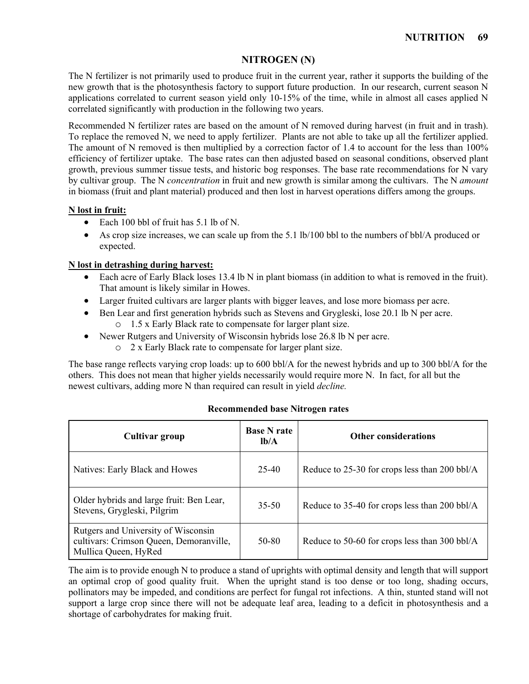### **NITROGEN (N)**

The N fertilizer is not primarily used to produce fruit in the current year, rather it supports the building of the new growth that is the photosynthesis factory to support future production. In our research, current season N applications correlated to current season yield only 10-15% of the time, while in almost all cases applied N correlated significantly with production in the following two years.

Recommended N fertilizer rates are based on the amount of N removed during harvest (in fruit and in trash). To replace the removed N, we need to apply fertilizer. Plants are not able to take up all the fertilizer applied. The amount of N removed is then multiplied by a correction factor of 1.4 to account for the less than 100% efficiency of fertilizer uptake. The base rates can then adjusted based on seasonal conditions, observed plant growth, previous summer tissue tests, and historic bog responses. The base rate recommendations for N vary by cultivar group. The N *concentration* in fruit and new growth is similar among the cultivars. The N *amount* in biomass (fruit and plant material) produced and then lost in harvest operations differs among the groups.

#### **N lost in fruit:**

- Each 100 bbl of fruit has 5.1 lb of N.
- As crop size increases, we can scale up from the 5.1 lb/100 bbl to the numbers of bbl/A produced or expected.

#### **N lost in detrashing during harvest:**

- Each acre of Early Black loses 13.4 lb N in plant biomass (in addition to what is removed in the fruit). That amount is likely similar in Howes.
- Larger fruited cultivars are larger plants with bigger leaves, and lose more biomass per acre.
- Ben Lear and first generation hybrids such as Stevens and Grygleski, lose 20.1 lb N per acre. o 1.5 x Early Black rate to compensate for larger plant size.
- Newer Rutgers and University of Wisconsin hybrids lose 26.8 lb N per acre.
	- o 2 x Early Black rate to compensate for larger plant size.

The base range reflects varying crop loads: up to 600 bbl/A for the newest hybrids and up to 300 bbl/A for the others. This does not mean that higher yields necessarily would require more N. In fact, for all but the newest cultivars, adding more N than required can result in yield *decline.*

| Cultivar group                                                                                         | <b>Base N rate</b><br>$lb/A$ | <b>Other considerations</b>                   |
|--------------------------------------------------------------------------------------------------------|------------------------------|-----------------------------------------------|
| Natives: Early Black and Howes                                                                         | 25-40                        | Reduce to 25-30 for crops less than 200 bbl/A |
| Older hybrids and large fruit: Ben Lear,<br>Stevens, Grygleski, Pilgrim                                | $35 - 50$                    | Reduce to 35-40 for crops less than 200 bbl/A |
| Rutgers and University of Wisconsin<br>cultivars: Crimson Queen, Demoranville,<br>Mullica Queen, HyRed | 50-80                        | Reduce to 50-60 for crops less than 300 bbl/A |

#### **Recommended base Nitrogen rates**

The aim is to provide enough N to produce a stand of uprights with optimal density and length that will support an optimal crop of good quality fruit. When the upright stand is too dense or too long, shading occurs, pollinators may be impeded, and conditions are perfect for fungal rot infections. A thin, stunted stand will not support a large crop since there will not be adequate leaf area, leading to a deficit in photosynthesis and a shortage of carbohydrates for making fruit.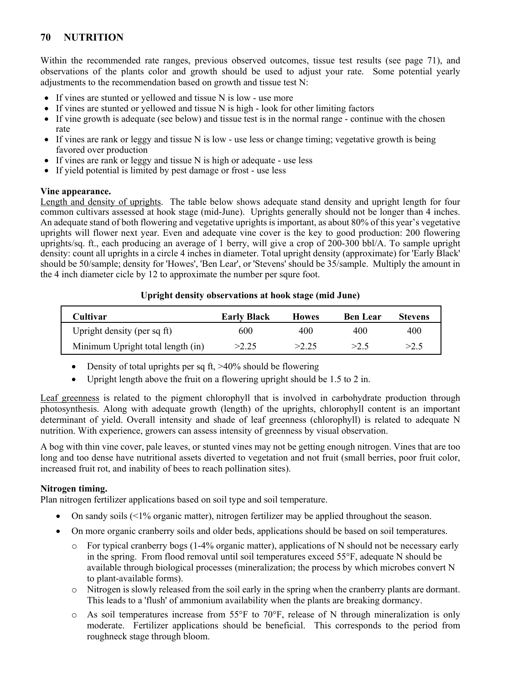Within the recommended rate ranges, previous observed outcomes, tissue test results (see page 71), and observations of the plants color and growth should be used to adjust your rate. Some potential yearly adjustments to the recommendation based on growth and tissue test N:

- If vines are stunted or yellowed and tissue N is low use more
- If vines are stunted or yellowed and tissue N is high look for other limiting factors
- If vine growth is adequate (see below) and tissue test is in the normal range continue with the chosen rate
- If vines are rank or leggy and tissue N is low use less or change timing; vegetative growth is being favored over production
- If vines are rank or leggy and tissue N is high or adequate use less
- If yield potential is limited by pest damage or frost use less

#### **Vine appearance.**

Length and density of uprights. The table below shows adequate stand density and upright length for four common cultivars assessed at hook stage (mid-June). Uprights generally should not be longer than 4 inches. An adequate stand of both flowering and vegetative uprights is important, as about 80% of this year's vegetative uprights will flower next year. Even and adequate vine cover is the key to good production: 200 flowering uprights/sq. ft., each producing an average of 1 berry, will give a crop of 200-300 bbl/A. To sample upright density: count all uprights in a circle 4 inches in diameter. Total upright density (approximate) for 'Early Black' should be 50/sample; density for 'Howes', 'Ben Lear', or 'Stevens' should be 35/sample. Multiply the amount in the 4 inch diameter cicle by 12 to approximate the number per squre foot.

#### **Upright density observations at hook stage (mid June)**

| Cultivar                          | <b>Early Black</b> | <b>Howes</b> | <b>Ben Lear</b> | <b>Stevens</b> |
|-----------------------------------|--------------------|--------------|-----------------|----------------|
| Upright density (per sq ft)       | 600                | 400          | 400             | 400            |
| Minimum Upright total length (in) | >2.25              | >2.25        | >2.5            | >2.5           |

- Density of total uprights per sq ft, >40% should be flowering
- Upright length above the fruit on a flowering upright should be 1.5 to 2 in.

Leaf greenness is related to the pigment chlorophyll that is involved in carbohydrate production through photosynthesis. Along with adequate growth (length) of the uprights, chlorophyll content is an important determinant of yield. Overall intensity and shade of leaf greenness (chlorophyll) is related to adequate N nutrition. With experience, growers can assess intensity of greenness by visual observation.

A bog with thin vine cover, pale leaves, or stunted vines may not be getting enough nitrogen. Vines that are too long and too dense have nutritional assets diverted to vegetation and not fruit (small berries, poor fruit color, increased fruit rot, and inability of bees to reach pollination sites).

#### **Nitrogen timing.**

Plan nitrogen fertilizer applications based on soil type and soil temperature.

- On sandy soils (<1% organic matter), nitrogen fertilizer may be applied throughout the season.
- On more organic cranberry soils and older beds, applications should be based on soil temperatures.
	- $\circ$  For typical cranberry bogs (1-4% organic matter), applications of N should not be necessary early in the spring. From flood removal until soil temperatures exceed 55°F, adequate N should be available through biological processes (mineralization; the process by which microbes convert N to plant-available forms).
	- o Nitrogen is slowly released from the soil early in the spring when the cranberry plants are dormant. This leads to a 'flush' of ammonium availability when the plants are breaking dormancy.
	- $\circ$  As soil temperatures increase from 55°F to 70°F, release of N through mineralization is only moderate. Fertilizer applications should be beneficial. This corresponds to the period from roughneck stage through bloom.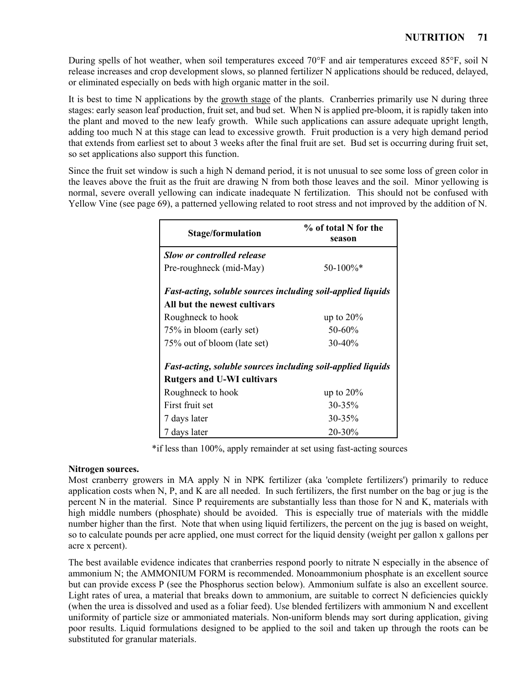During spells of hot weather, when soil temperatures exceed 70°F and air temperatures exceed 85°F, soil N release increases and crop development slows, so planned fertilizer N applications should be reduced, delayed, or eliminated especially on beds with high organic matter in the soil.

It is best to time N applications by the growth stage of the plants. Cranberries primarily use N during three stages: early season leaf production, fruit set, and bud set. When N is applied pre-bloom, it is rapidly taken into the plant and moved to the new leafy growth. While such applications can assure adequate upright length, adding too much N at this stage can lead to excessive growth. Fruit production is a very high demand period that extends from earliest set to about 3 weeks after the final fruit are set. Bud set is occurring during fruit set, so set applications also support this function.

Since the fruit set window is such a high N demand period, it is not unusual to see some loss of green color in the leaves above the fruit as the fruit are drawing N from both those leaves and the soil. Minor yellowing is normal, severe overall yellowing can indicate inadequate N fertilization. This should not be confused with Yellow Vine (see page 69), a patterned yellowing related to root stress and not improved by the addition of N.

| Stage/formulation                                           | % of total N for the<br>season |  |  |  |  |  |  |
|-------------------------------------------------------------|--------------------------------|--|--|--|--|--|--|
| <b>Slow or controlled release</b>                           |                                |  |  |  |  |  |  |
| Pre-roughneck (mid-May)                                     | $50-100\%$ <sup>*</sup>        |  |  |  |  |  |  |
| Fast-acting, soluble sources including soil-applied liquids |                                |  |  |  |  |  |  |
| All but the newest cultivars                                |                                |  |  |  |  |  |  |
| Roughneck to hook                                           | up to $20\%$                   |  |  |  |  |  |  |
| 75% in bloom (early set)                                    | 50-60%                         |  |  |  |  |  |  |
| 75% out of bloom (late set)                                 | $30-40%$                       |  |  |  |  |  |  |
| Fast-acting, soluble sources including soil-applied liquids |                                |  |  |  |  |  |  |
| <b>Rutgers and U-WI cultivars</b>                           |                                |  |  |  |  |  |  |
| Roughneck to hook                                           | up to $20\%$                   |  |  |  |  |  |  |
| First fruit set                                             | $30 - 35\%$                    |  |  |  |  |  |  |
| 7 days later                                                | $30 - 35\%$                    |  |  |  |  |  |  |
| 7 days later                                                | 20-30%                         |  |  |  |  |  |  |

\*if less than 100%, apply remainder at set using fast-acting sources

#### **Nitrogen sources.**

Most cranberry growers in MA apply N in NPK fertilizer (aka 'complete fertilizers') primarily to reduce application costs when N, P, and K are all needed. In such fertilizers, the first number on the bag or jug is the percent N in the material. Since P requirements are substantially less than those for N and K, materials with high middle numbers (phosphate) should be avoided. This is especially true of materials with the middle number higher than the first. Note that when using liquid fertilizers, the percent on the jug is based on weight, so to calculate pounds per acre applied, one must correct for the liquid density (weight per gallon x gallons per acre x percent).

The best available evidence indicates that cranberries respond poorly to nitrate N especially in the absence of ammonium N; the AMMONIUM FORM is recommended. Monoammonium phosphate is an excellent source but can provide excess P (see the Phosphorus section below). Ammonium sulfate is also an excellent source. Light rates of urea, a material that breaks down to ammonium, are suitable to correct N deficiencies quickly (when the urea is dissolved and used as a foliar feed). Use blended fertilizers with ammonium N and excellent uniformity of particle size or ammoniated materials. Non-uniform blends may sort during application, giving poor results. Liquid formulations designed to be applied to the soil and taken up through the roots can be substituted for granular materials.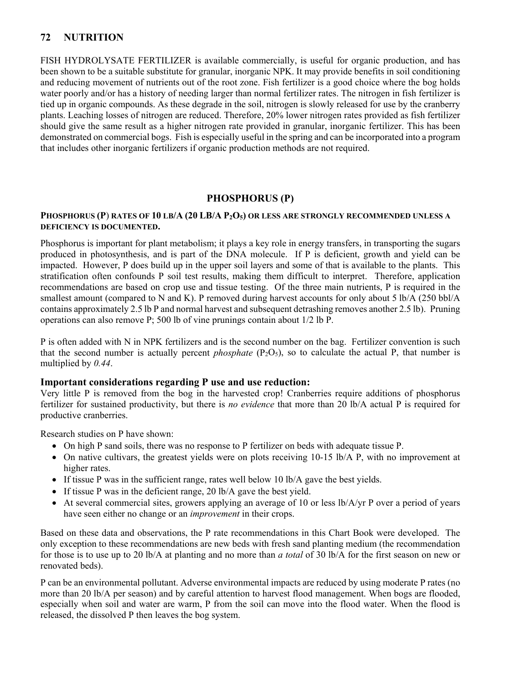FISH HYDROLYSATE FERTILIZER is available commercially, is useful for organic production, and has been shown to be a suitable substitute for granular, inorganic NPK. It may provide benefits in soil conditioning and reducing movement of nutrients out of the root zone. Fish fertilizer is a good choice where the bog holds water poorly and/or has a history of needing larger than normal fertilizer rates. The nitrogen in fish fertilizer is tied up in organic compounds. As these degrade in the soil, nitrogen is slowly released for use by the cranberry plants. Leaching losses of nitrogen are reduced. Therefore, 20% lower nitrogen rates provided as fish fertilizer should give the same result as a higher nitrogen rate provided in granular, inorganic fertilizer. This has been demonstrated on commercial bogs. Fish is especially useful in the spring and can be incorporated into a program that includes other inorganic fertilizers if organic production methods are not required.

### **PHOSPHORUS (P)**

#### **PHOSPHORUS (P**) **RATES OF 10 LB/A (20 LB/A P2O5) OR LESS ARE STRONGLY RECOMMENDED UNLESS A DEFICIENCY IS DOCUMENTED.**

Phosphorus is important for plant metabolism; it plays a key role in energy transfers, in transporting the sugars produced in photosynthesis, and is part of the DNA molecule. If P is deficient, growth and yield can be impacted. However, P does build up in the upper soil layers and some of that is available to the plants. This stratification often confounds P soil test results, making them difficult to interpret. Therefore, application recommendations are based on crop use and tissue testing. Of the three main nutrients, P is required in the smallest amount (compared to N and K). P removed during harvest accounts for only about 5 lb/A (250 bbl/A) contains approximately 2.5 lb P and normal harvest and subsequent detrashing removes another 2.5 lb). Pruning operations can also remove P; 500 lb of vine prunings contain about 1/2 lb P.

P is often added with N in NPK fertilizers and is the second number on the bag. Fertilizer convention is such that the second number is actually percent *phosphate*  $(P_2O_5)$ , so to calculate the actual P, that number is multiplied by *0.44*.

#### **Important considerations regarding P use and use reduction:**

Very little P is removed from the bog in the harvested crop! Cranberries require additions of phosphorus fertilizer for sustained productivity, but there is *no evidence* that more than 20 lb/A actual P is required for productive cranberries.

Research studies on P have shown:

- On high P sand soils, there was no response to P fertilizer on beds with adequate tissue P.
- On native cultivars, the greatest yields were on plots receiving 10-15 lb/A P, with no improvement at higher rates.
- If tissue P was in the sufficient range, rates well below 10 lb/A gave the best yields.
- If tissue P was in the deficient range, 20 lb/A gave the best yield.
- At several commercial sites, growers applying an average of 10 or less  $\frac{16}{A}$ /yr P over a period of years have seen either no change or an *improvement* in their crops.

Based on these data and observations, the P rate recommendations in this Chart Book were developed. The only exception to these recommendations are new beds with fresh sand planting medium (the recommendation for those is to use up to 20 lb/A at planting and no more than *a total* of 30 lb/A for the first season on new or renovated beds).

P can be an environmental pollutant. Adverse environmental impacts are reduced by using moderate P rates (no more than 20 lb/A per season) and by careful attention to harvest flood management. When bogs are flooded, especially when soil and water are warm, P from the soil can move into the flood water. When the flood is released, the dissolved P then leaves the bog system.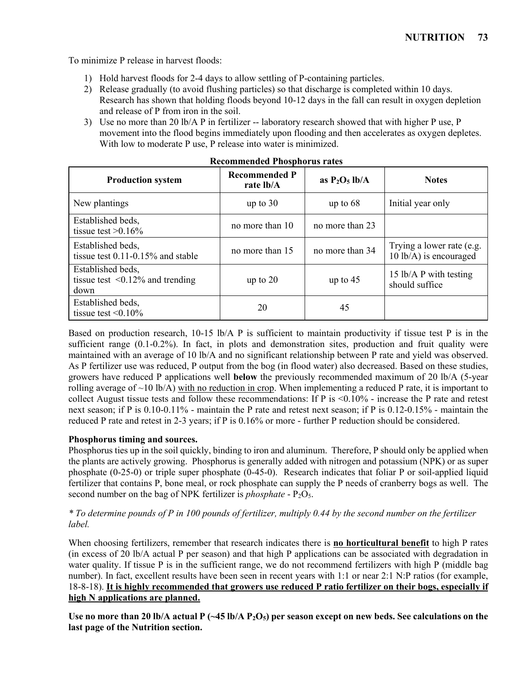To minimize P release in harvest floods:

- 1) Hold harvest floods for 2-4 days to allow settling of P-containing particles.
- 2) Release gradually (to avoid flushing particles) so that discharge is completed within 10 days. Research has shown that holding floods beyond 10-12 days in the fall can result in oxygen depletion and release of P from iron in the soil.
- 3) Use no more than 20 lb/A P in fertilizer -- laboratory research showed that with higher P use, P movement into the flood begins immediately upon flooding and then accelerates as oxygen depletes. With low to moderate P use, P release into water is minimized.

| <b>Production system</b>                                            | <b>Recommended P</b><br>rate lb/A | as $P_2O_5$ lb/A | <b>Notes</b>                                        |  |  |
|---------------------------------------------------------------------|-----------------------------------|------------------|-----------------------------------------------------|--|--|
| New plantings                                                       | up to $30$                        | up to $68$       | Initial year only                                   |  |  |
| Established beds,<br>tissue test $>0.16\%$                          | no more than 10                   | no more than 23  |                                                     |  |  |
| Established beds,<br>tissue test $0.11$ - $0.15\%$ and stable       | no more than 15                   | no more than 34  | Trying a lower rate (e.g.<br>10 lb/A) is encouraged |  |  |
| Established beds,<br>tissue test $\leq 0.12\%$ and trending<br>down | up to $20$                        | up to $45$       | 15 lb/A P with testing<br>should suffice            |  |  |
| Established beds,<br>tissue test $\leq 0.10\%$                      | 20                                | 45               |                                                     |  |  |

#### **Recommended Phosphorus rates**

Based on production research, 10-15 lb/A P is sufficient to maintain productivity if tissue test P is in the sufficient range (0.1-0.2%). In fact, in plots and demonstration sites, production and fruit quality were maintained with an average of 10 lb/A and no significant relationship between P rate and yield was observed. As P fertilizer use was reduced, P output from the bog (in flood water) also decreased. Based on these studies, growers have reduced P applications well **below** the previously recommended maximum of 20 lb/A (5-year rolling average of  $\sim$ 10 lb/A) with no reduction in crop. When implementing a reduced P rate, it is important to collect August tissue tests and follow these recommendations: If P is  $\leq 0.10\%$  - increase the P rate and retest next season; if P is 0.10-0.11% - maintain the P rate and retest next season; if P is 0.12-0.15% - maintain the reduced P rate and retest in 2-3 years; if P is 0.16% or more - further P reduction should be considered.

### **Phosphorus timing and sources.**

Phosphorus ties up in the soil quickly, binding to iron and aluminum. Therefore, P should only be applied when the plants are actively growing. Phosphorus is generally added with nitrogen and potassium (NPK) or as super phosphate (0-25-0) or triple super phosphate (0-45-0). Research indicates that foliar P or soil-applied liquid fertilizer that contains P, bone meal, or rock phosphate can supply the P needs of cranberry bogs as well. The second number on the bag of NPK fertilizer is *phosphate* - P<sub>2</sub>O<sub>5</sub>.

### *\* To determine pounds of P in 100 pounds of fertilizer, multiply 0.44 by the second number on the fertilizer label.*

When choosing fertilizers, remember that research indicates there is **no horticultural benefit** to high P rates (in excess of 20 lb/A actual P per season) and that high P applications can be associated with degradation in water quality. If tissue P is in the sufficient range, we do not recommend fertilizers with high P (middle bag number). In fact, excellent results have been seen in recent years with 1:1 or near 2:1 N:P ratios (for example, 18-8-18). **It is highly recommended that growers use reduced P ratio fertilizer on their bogs, especially if high N applications are planned.**

Use no more than 20 lb/A actual P (~45 lb/A P<sub>2</sub>O<sub>5</sub>) per season except on new beds. See calculations on the **last page of the Nutrition section.**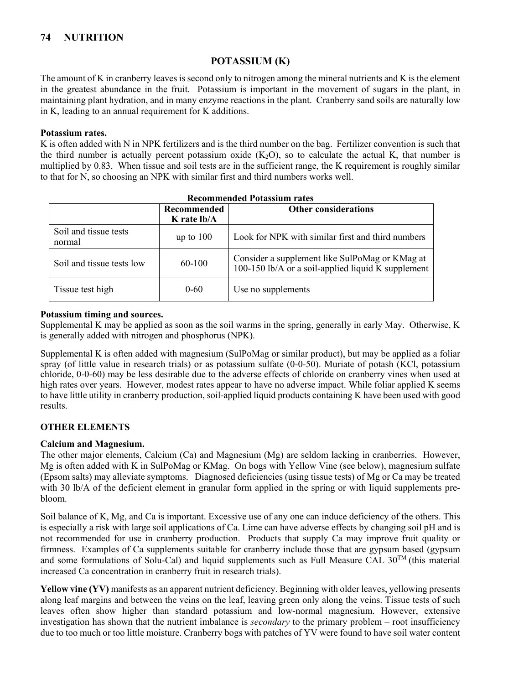### **POTASSIUM (K)**

The amount of K in cranberry leaves is second only to nitrogen among the mineral nutrients and K is the element in the greatest abundance in the fruit. Potassium is important in the movement of sugars in the plant, in maintaining plant hydration, and in many enzyme reactions in the plant. Cranberry sand soils are naturally low in K, leading to an annual requirement for K additions.

#### **Potassium rates.**

K is often added with N in NPK fertilizers and is the third number on the bag. Fertilizer convention is such that the third number is actually percent potassium oxide  $(K_2O)$ , so to calculate the actual K, that number is multiplied by 0.83. When tissue and soil tests are in the sufficient range, the K requirement is roughly similar to that for N, so choosing an NPK with similar first and third numbers works well.

|                                 | Recommended<br>K rate lb/A | <b>Other considerations</b>                                                                          |  |  |  |  |  |  |
|---------------------------------|----------------------------|------------------------------------------------------------------------------------------------------|--|--|--|--|--|--|
| Soil and tissue tests<br>normal | up to $100$                | Look for NPK with similar first and third numbers                                                    |  |  |  |  |  |  |
| Soil and tissue tests low       | 60-100                     | Consider a supplement like SulPoMag or KMag at<br>100-150 lb/A or a soil-applied liquid K supplement |  |  |  |  |  |  |
| Tissue test high                | $0 - 60$                   | Use no supplements                                                                                   |  |  |  |  |  |  |

#### **Recommended Potassium rates**

#### **Potassium timing and sources.**

Supplemental K may be applied as soon as the soil warms in the spring, generally in early May. Otherwise, K is generally added with nitrogen and phosphorus (NPK).

Supplemental K is often added with magnesium (SulPoMag or similar product), but may be applied as a foliar spray (of little value in research trials) or as potassium sulfate (0-0-50). Muriate of potash (KCl, potassium chloride, 0-0-60) may be less desirable due to the adverse effects of chloride on cranberry vines when used at high rates over years. However, modest rates appear to have no adverse impact. While foliar applied K seems to have little utility in cranberry production, soil-applied liquid products containing K have been used with good results.

#### **OTHER ELEMENTS**

#### **Calcium and Magnesium.**

The other major elements, Calcium (Ca) and Magnesium (Mg) are seldom lacking in cranberries. However, Mg is often added with K in SulPoMag or KMag. On bogs with Yellow Vine (see below), magnesium sulfate (Epsom salts) may alleviate symptoms. Diagnosed deficiencies (using tissue tests) of Mg or Ca may be treated with 30 lb/A of the deficient element in granular form applied in the spring or with liquid supplements prebloom.

Soil balance of K, Mg, and Ca is important. Excessive use of any one can induce deficiency of the others. This is especially a risk with large soil applications of Ca. Lime can have adverse effects by changing soil pH and is not recommended for use in cranberry production. Products that supply Ca may improve fruit quality or firmness. Examples of Ca supplements suitable for cranberry include those that are gypsum based (gypsum and some formulations of Solu-Cal) and liquid supplements such as Full Measure CAL  $30^{TM}$  (this material increased Ca concentration in cranberry fruit in research trials).

**Yellow vine (YV)** manifests as an apparent nutrient deficiency. Beginning with older leaves, yellowing presents along leaf margins and between the veins on the leaf, leaving green only along the veins. Tissue tests of such leaves often show higher than standard potassium and low-normal magnesium. However, extensive investigation has shown that the nutrient imbalance is *secondary* to the primary problem – root insufficiency due to too much or too little moisture. Cranberry bogs with patches of YV were found to have soil water content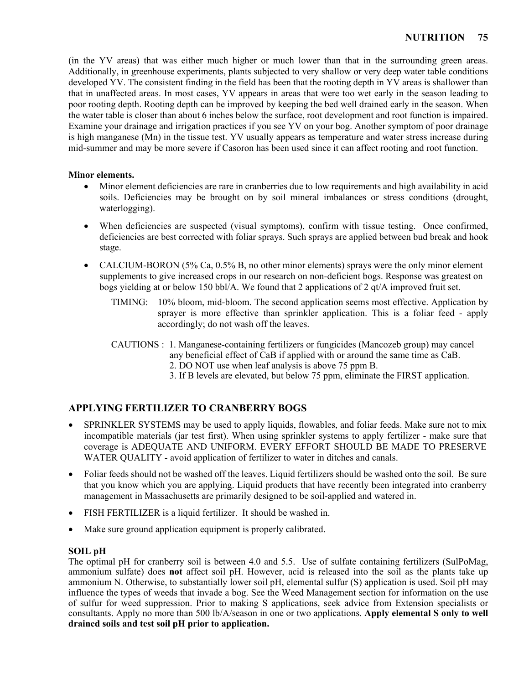(in the YV areas) that was either much higher or much lower than that in the surrounding green areas. Additionally, in greenhouse experiments, plants subjected to very shallow or very deep water table conditions developed YV. The consistent finding in the field has been that the rooting depth in YV areas is shallower than that in unaffected areas. In most cases, YV appears in areas that were too wet early in the season leading to poor rooting depth. Rooting depth can be improved by keeping the bed well drained early in the season. When the water table is closer than about 6 inches below the surface, root development and root function is impaired. Examine your drainage and irrigation practices if you see YV on your bog. Another symptom of poor drainage is high manganese (Mn) in the tissue test. YV usually appears as temperature and water stress increase during mid-summer and may be more severe if Casoron has been used since it can affect rooting and root function.

#### **Minor elements.**

- Minor element deficiencies are rare in cranberries due to low requirements and high availability in acid soils. Deficiencies may be brought on by soil mineral imbalances or stress conditions (drought, waterlogging).
- When deficiencies are suspected (visual symptoms), confirm with tissue testing. Once confirmed, deficiencies are best corrected with foliar sprays. Such sprays are applied between bud break and hook stage.
- CALCIUM-BORON (5% Ca, 0.5% B, no other minor elements) sprays were the only minor element supplements to give increased crops in our research on non-deficient bogs. Response was greatest on bogs yielding at or below 150 bbl/A. We found that 2 applications of 2  $qt/A$  improved fruit set.
	- TIMING: 10% bloom, mid-bloom. The second application seems most effective. Application by sprayer is more effective than sprinkler application. This is a foliar feed - apply accordingly; do not wash off the leaves.
	- CAUTIONS : 1. Manganese-containing fertilizers or fungicides (Mancozeb group) may cancel
		- any beneficial effect of CaB if applied with or around the same time as CaB.
			- 2. DO NOT use when leaf analysis is above 75 ppm B.
			- 3. If B levels are elevated, but below 75 ppm, eliminate the FIRST application.

# **APPLYING FERTILIZER TO CRANBERRY BOGS**

- SPRINKLER SYSTEMS may be used to apply liquids, flowables, and foliar feeds. Make sure not to mix incompatible materials (jar test first). When using sprinkler systems to apply fertilizer - make sure that coverage is ADEQUATE AND UNIFORM. EVERY EFFORT SHOULD BE MADE TO PRESERVE WATER QUALITY - avoid application of fertilizer to water in ditches and canals.
- Foliar feeds should not be washed off the leaves. Liquid fertilizers should be washed onto the soil. Be sure that you know which you are applying. Liquid products that have recently been integrated into cranberry management in Massachusetts are primarily designed to be soil-applied and watered in.
- FISH FERTILIZER is a liquid fertilizer. It should be washed in.
- Make sure ground application equipment is properly calibrated.

### **SOIL pH**

The optimal pH for cranberry soil is between 4.0 and 5.5. Use of sulfate containing fertilizers (SulPoMag, ammonium sulfate) does **not** affect soil pH. However, acid is released into the soil as the plants take up ammonium N. Otherwise, to substantially lower soil pH, elemental sulfur (S) application is used. Soil pH may influence the types of weeds that invade a bog. See the Weed Management section for information on the use of sulfur for weed suppression. Prior to making S applications, seek advice from Extension specialists or consultants. Apply no more than 500 lb/A/season in one or two applications. **Apply elemental S only to well drained soils and test soil pH prior to application.**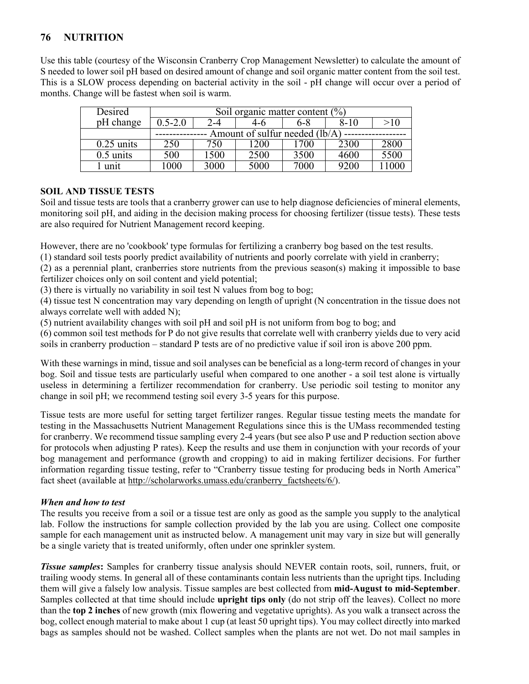Use this table (courtesy of the Wisconsin Cranberry Crop Management Newsletter) to calculate the amount of S needed to lower soil pH based on desired amount of change and soil organic matter content from the soil test. This is a SLOW process depending on bacterial activity in the soil - pH change will occur over a period of months. Change will be fastest when soil is warm.

| Desired      | Soil organic matter content $(\%)$ |                                |            |      |      |      |  |  |  |  |  |
|--------------|------------------------------------|--------------------------------|------------|------|------|------|--|--|--|--|--|
| pH change    | $0.5 - 2.0$                        | 8-10<br>>10<br>6-8<br>2-4      |            |      |      |      |  |  |  |  |  |
|              |                                    | Amount of sulfur needed (lb/A) |            |      |      |      |  |  |  |  |  |
| $0.25$ units | 250                                | 750                            | <b>200</b> | 700  | 2300 | 2800 |  |  |  |  |  |
| $0.5$ units  | 500                                | 500                            | 2500       | 3500 | 4600 | 5500 |  |  |  |  |  |
| unit         | 000                                | 3000                           | 5000       | 7000 | 9200 |      |  |  |  |  |  |

#### **SOIL AND TISSUE TESTS**

Soil and tissue tests are tools that a cranberry grower can use to help diagnose deficiencies of mineral elements, monitoring soil pH, and aiding in the decision making process for choosing fertilizer (tissue tests). These tests are also required for Nutrient Management record keeping.

However, there are no 'cookbook' type formulas for fertilizing a cranberry bog based on the test results.

(1) standard soil tests poorly predict availability of nutrients and poorly correlate with yield in cranberry;

(2) as a perennial plant, cranberries store nutrients from the previous season(s) making it impossible to base fertilizer choices only on soil content and yield potential;

(3) there is virtually no variability in soil test N values from bog to bog;

(4) tissue test N concentration may vary depending on length of upright (N concentration in the tissue does not always correlate well with added N);

(5) nutrient availability changes with soil pH and soil pH is not uniform from bog to bog; and

(6) common soil test methods for P do not give results that correlate well with cranberry yields due to very acid soils in cranberry production – standard P tests are of no predictive value if soil iron is above 200 ppm.

With these warnings in mind, tissue and soil analyses can be beneficial as a long-term record of changes in your bog. Soil and tissue tests are particularly useful when compared to one another - a soil test alone is virtually useless in determining a fertilizer recommendation for cranberry. Use periodic soil testing to monitor any change in soil pH; we recommend testing soil every 3-5 years for this purpose.

Tissue tests are more useful for setting target fertilizer ranges. Regular tissue testing meets the mandate for testing in the Massachusetts Nutrient Management Regulations since this is the UMass recommended testing for cranberry. We recommend tissue sampling every 2-4 years (but see also P use and P reduction section above for protocols when adjusting P rates). Keep the results and use them in conjunction with your records of your bog management and performance (growth and cropping) to aid in making fertilizer decisions. For further information regarding tissue testing, refer to "Cranberry tissue testing for producing beds in North America" fact sheet (available at [http://scholarworks.umass.edu/cranberry\\_factsheets/6/\)](http://scholarworks.umass.edu/cranberry_factsheets/6/).

### *When and how to test*

The results you receive from a soil or a tissue test are only as good as the sample you supply to the analytical lab. Follow the instructions for sample collection provided by the lab you are using. Collect one composite sample for each management unit as instructed below. A management unit may vary in size but will generally be a single variety that is treated uniformly, often under one sprinkler system.

*Tissue samples*: Samples for cranberry tissue analysis should NEVER contain roots, soil, runners, fruit, or trailing woody stems. In general all of these contaminants contain less nutrients than the upright tips. Including them will give a falsely low analysis. Tissue samples are best collected from **mid-August to mid-September**. Samples collected at that time should include **upright tips only** (do not strip off the leaves). Collect no more than the **top 2 inches** of new growth (mix flowering and vegetative uprights). As you walk a transect across the bog, collect enough material to make about 1 cup (at least 50 upright tips). You may collect directly into marked bags as samples should not be washed. Collect samples when the plants are not wet. Do not mail samples in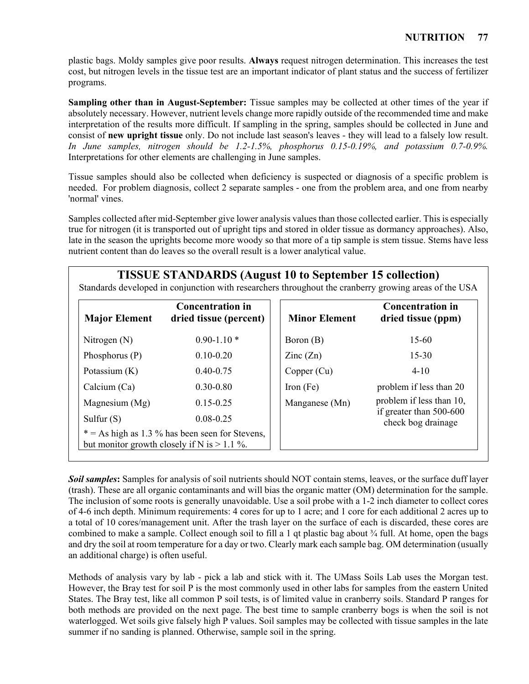plastic bags. Moldy samples give poor results. **Always** request nitrogen determination. This increases the test cost, but nitrogen levels in the tissue test are an important indicator of plant status and the success of fertilizer programs.

**Sampling other than in August-September:** Tissue samples may be collected at other times of the year if absolutely necessary. However, nutrient levels change more rapidly outside of the recommended time and make interpretation of the results more difficult. If sampling in the spring, samples should be collected in June and consist of **new upright tissue** only. Do not include last season's leaves - they will lead to a falsely low result. *In June samples, nitrogen should be 1.2-1.5%, phosphorus 0.15-0.19%, and potassium 0.7-0.9%.* Interpretations for other elements are challenging in June samples.

Tissue samples should also be collected when deficiency is suspected or diagnosis of a specific problem is needed. For problem diagnosis, collect 2 separate samples - one from the problem area, and one from nearby 'normal' vines.

Samples collected after mid-September give lower analysis values than those collected earlier. This is especially true for nitrogen (it is transported out of upright tips and stored in older tissue as dormancy approaches). Also, late in the season the uprights become more woody so that more of a tip sample is stem tissue. Stems have less nutrient content than do leaves so the overall result is a lower analytical value.

# **TISSUE STANDARDS (August 10 to September 15 collection)**

Standards developed in conjunction with researchers throughout the cranberry growing areas of the USA

| <b>Major Element</b> | <b>Concentration in</b><br>dried tissue (percent)                                                  | <b>Minor Element</b>     | <b>Concentration in</b><br>dried tissue (ppm) |
|----------------------|----------------------------------------------------------------------------------------------------|--------------------------|-----------------------------------------------|
| Nitrogen $(N)$       | $0.90 - 1.10*$                                                                                     | Boron (B)                | $15-60$                                       |
| Phosphorus $(P)$     | $0.10 - 0.20$                                                                                      | $\text{Zinc}(\text{Zn})$ | $15 - 30$                                     |
| Potassium $(K)$      | $0.40 - 0.75$                                                                                      | Copper (Cu)              | $4 - 10$                                      |
| Calcium $(Ca)$       | $0.30 - 0.80$                                                                                      | Iron $(Fe)$              | problem if less than 20                       |
| Magnesium (Mg)       | $0.15 - 0.25$                                                                                      | Manganese (Mn)           | problem if less than 10,                      |
| Sulfur $(S)$         | $0.08 - 0.25$                                                                                      |                          | if greater than 500-600<br>check bog drainage |
|                      | $* = As high as 1.3 % has been seen for Stevens,$<br>but monitor growth closely if N is $> 1.1$ %. |                          |                                               |

**Soil samples:** Samples for analysis of soil nutrients should NOT contain stems, leaves, or the surface duff layer (trash). These are all organic contaminants and will bias the organic matter (OM) determination for the sample. The inclusion of some roots is generally unavoidable. Use a soil probe with a 1-2 inch diameter to collect cores of 4-6 inch depth. Minimum requirements: 4 cores for up to 1 acre; and 1 core for each additional 2 acres up to a total of 10 cores/management unit. After the trash layer on the surface of each is discarded, these cores are combined to make a sample. Collect enough soil to fill a 1 qt plastic bag about  $\frac{3}{4}$  full. At home, open the bags and dry the soil at room temperature for a day or two. Clearly mark each sample bag. OM determination (usually an additional charge) is often useful.

Methods of analysis vary by lab - pick a lab and stick with it. The UMass Soils Lab uses the Morgan test. However, the Bray test for soil P is the most commonly used in other labs for samples from the eastern United States. The Bray test, like all common P soil tests, is of limited value in cranberry soils. Standard P ranges for both methods are provided on the next page. The best time to sample cranberry bogs is when the soil is not waterlogged. Wet soils give falsely high P values. Soil samples may be collected with tissue samples in the late summer if no sanding is planned. Otherwise, sample soil in the spring.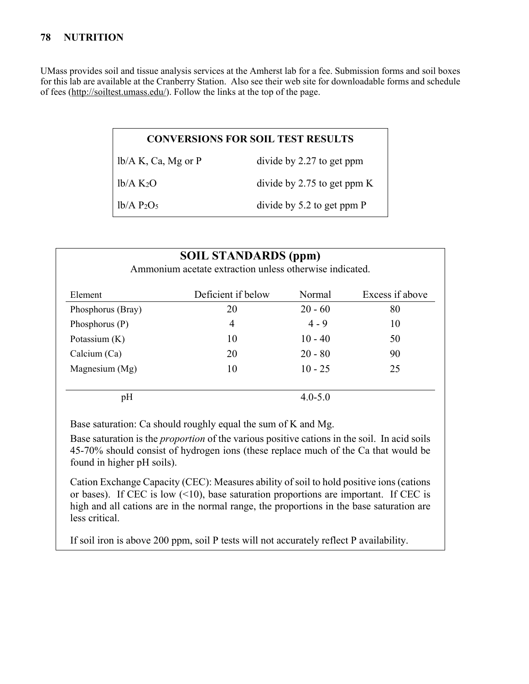UMass provides soil and tissue analysis services at the Amherst lab for a fee. Submission forms and soil boxes for this lab are available at the Cranberry Station. Also see their web site for downloadable forms and schedule of fees [\(http://soiltest.umass.edu/\)](http://soiltest.umass.edu/). Follow the links at the top of the page.

### **CONVERSIONS FOR SOIL TEST RESULTS**

lb/A K, Ca, Mg or P divide by 2.27 to get ppm

lb/A K2O divide by 2.75 to get ppm K

 $1b/A$   $P_2O_5$  divide by 5.2 to get ppm P

| <b>SOIL STANDARDS (ppm)</b><br>Ammonium acetate extraction unless otherwise indicated. |                    |             |                 |  |  |  |  |  |
|----------------------------------------------------------------------------------------|--------------------|-------------|-----------------|--|--|--|--|--|
| Element                                                                                | Deficient if below | Normal      | Excess if above |  |  |  |  |  |
| Phosphorus (Bray)                                                                      | 20                 | $20 - 60$   | 80              |  |  |  |  |  |
| Phosphorus $(P)$                                                                       | 4                  | $4 - 9$     | 10              |  |  |  |  |  |
| Potassium $(K)$                                                                        | 10                 | $10 - 40$   | 50              |  |  |  |  |  |
| Calcium $(Ca)$                                                                         | 20                 | $20 - 80$   | 90              |  |  |  |  |  |
| Magnesium (Mg)                                                                         | 10                 | $10 - 25$   | 25              |  |  |  |  |  |
| pH                                                                                     |                    | $4.0 - 5.0$ |                 |  |  |  |  |  |

Base saturation: Ca should roughly equal the sum of K and Mg.

Base saturation is the *proportion* of the various positive cations in the soil. In acid soils 45-70% should consist of hydrogen ions (these replace much of the Ca that would be found in higher pH soils).

Cation Exchange Capacity (CEC): Measures ability of soil to hold positive ions (cations or bases). If CEC is low  $(10)$ , base saturation proportions are important. If CEC is high and all cations are in the normal range, the proportions in the base saturation are less critical.

If soil iron is above 200 ppm, soil P tests will not accurately reflect P availability.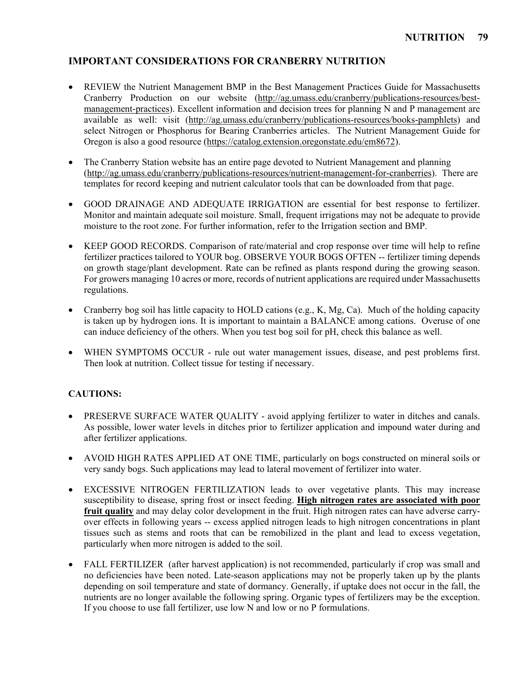### **IMPORTANT CONSIDERATIONS FOR CRANBERRY NUTRITION**

- REVIEW the Nutrient Management BMP in the Best Management Practices Guide for Massachusetts Cranberry Production on our website [\(http://ag.umass.edu/cranberry/publications-resources/best](http://ag.umass.edu/cranberry/publications-resources/best-management-practices)[management-practices\)](http://ag.umass.edu/cranberry/publications-resources/best-management-practices). Excellent information and decision trees for planning N and P management are available as well: visit [\(http://ag.umass.edu/cranberry/publications-resources/books-pamphlets\)](http://ag.umass.edu/cranberry/publications-resources/books-pamphlets) and select Nitrogen or Phosphorus for Bearing Cranberries articles. The Nutrient Management Guide for Oregon is also a good resource [\(https://catalog.extension.oregonstate.edu/em8672\)](https://catalog.extension.oregonstate.edu/em8672).
- The Cranberry Station website has an entire page devoted to Nutrient Management and planning [\(http://ag.umass.edu/cranberry/publications-resources/nutrient-management-for-cranberries\)](http://ag.umass.edu/cranberry/publications-resources/nutrient-management-for-cranberries). There are templates for record keeping and nutrient calculator tools that can be downloaded from that page.
- GOOD DRAINAGE AND ADEQUATE IRRIGATION are essential for best response to fertilizer. Monitor and maintain adequate soil moisture. Small, frequent irrigations may not be adequate to provide moisture to the root zone. For further information, refer to the Irrigation section and BMP.
- KEEP GOOD RECORDS. Comparison of rate/material and crop response over time will help to refine fertilizer practices tailored to YOUR bog. OBSERVE YOUR BOGS OFTEN -- fertilizer timing depends on growth stage/plant development. Rate can be refined as plants respond during the growing season. For growers managing 10 acres or more, records of nutrient applications are required under Massachusetts regulations.
- Cranberry bog soil has little capacity to HOLD cations (e.g., K, Mg, Ca). Much of the holding capacity is taken up by hydrogen ions. It is important to maintain a BALANCE among cations. Overuse of one can induce deficiency of the others. When you test bog soil for pH, check this balance as well.
- WHEN SYMPTOMS OCCUR rule out water management issues, disease, and pest problems first. Then look at nutrition. Collect tissue for testing if necessary.

### **CAUTIONS:**

- PRESERVE SURFACE WATER OUALITY avoid applying fertilizer to water in ditches and canals. As possible, lower water levels in ditches prior to fertilizer application and impound water during and after fertilizer applications.
- AVOID HIGH RATES APPLIED AT ONE TIME, particularly on bogs constructed on mineral soils or very sandy bogs. Such applications may lead to lateral movement of fertilizer into water.
- EXCESSIVE NITROGEN FERTILIZATION leads to over vegetative plants. This may increase susceptibility to disease, spring frost or insect feeding. **High nitrogen rates are associated with poor fruit quality** and may delay color development in the fruit. High nitrogen rates can have adverse carryover effects in following years -- excess applied nitrogen leads to high nitrogen concentrations in plant tissues such as stems and roots that can be remobilized in the plant and lead to excess vegetation, particularly when more nitrogen is added to the soil.
- FALL FERTILIZER (after harvest application) is not recommended, particularly if crop was small and no deficiencies have been noted. Late-season applications may not be properly taken up by the plants depending on soil temperature and state of dormancy. Generally, if uptake does not occur in the fall, the nutrients are no longer available the following spring. Organic types of fertilizers may be the exception. If you choose to use fall fertilizer, use low N and low or no P formulations.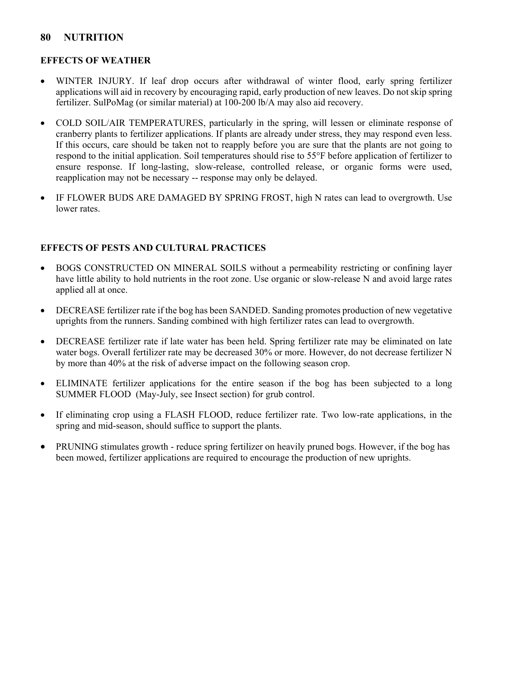#### **EFFECTS OF WEATHER**

- WINTER INJURY. If leaf drop occurs after withdrawal of winter flood, early spring fertilizer applications will aid in recovery by encouraging rapid, early production of new leaves. Do not skip spring fertilizer. SulPoMag (or similar material) at 100-200 lb/A may also aid recovery.
- COLD SOIL/AIR TEMPERATURES, particularly in the spring, will lessen or eliminate response of cranberry plants to fertilizer applications. If plants are already under stress, they may respond even less. If this occurs, care should be taken not to reapply before you are sure that the plants are not going to respond to the initial application. Soil temperatures should rise to 55°F before application of fertilizer to ensure response. If long-lasting, slow-release, controlled release, or organic forms were used, reapplication may not be necessary -- response may only be delayed.
- IF FLOWER BUDS ARE DAMAGED BY SPRING FROST, high N rates can lead to overgrowth. Use lower rates.

#### **EFFECTS OF PESTS AND CULTURAL PRACTICES**

- BOGS CONSTRUCTED ON MINERAL SOILS without a permeability restricting or confining layer have little ability to hold nutrients in the root zone. Use organic or slow-release N and avoid large rates applied all at once.
- DECREASE fertilizer rate if the bog has been SANDED. Sanding promotes production of new vegetative uprights from the runners. Sanding combined with high fertilizer rates can lead to overgrowth.
- DECREASE fertilizer rate if late water has been held. Spring fertilizer rate may be eliminated on late water bogs. Overall fertilizer rate may be decreased 30% or more. However, do not decrease fertilizer N by more than 40% at the risk of adverse impact on the following season crop.
- ELIMINATE fertilizer applications for the entire season if the bog has been subjected to a long SUMMER FLOOD (May-July, see Insect section) for grub control.
- If eliminating crop using a FLASH FLOOD, reduce fertilizer rate. Two low-rate applications, in the spring and mid-season, should suffice to support the plants.
- PRUNING stimulates growth reduce spring fertilizer on heavily pruned bogs. However, if the bog has been mowed, fertilizer applications are required to encourage the production of new uprights.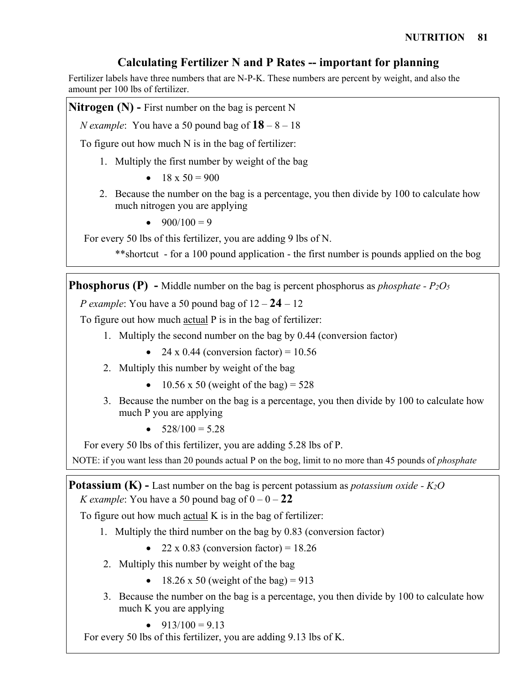# **Calculating Fertilizer N and P Rates -- important for planning**

Fertilizer labels have three numbers that are N-P-K. These numbers are percent by weight, and also the amount per 100 lbs of fertilizer.

**Nitrogen (N) -** First number on the bag is percent N

*N* example: You have a 50 pound bag of  $18 - 8 - 18$ 

To figure out how much N is in the bag of fertilizer:

- 1. Multiply the first number by weight of the bag
	- $18 \times 50 = 900$
- 2. Because the number on the bag is a percentage, you then divide by 100 to calculate how much nitrogen you are applying
	- $900/100 = 9$

For every 50 lbs of this fertilizer, you are adding 9 lbs of N.

\*\*shortcut - for a 100 pound application - the first number is pounds applied on the bog

**Phosphorus (P)** - Middle number on the bag is percent phosphorus as *phosphate - P<sub>2</sub>O<sub>5</sub>* 

*P example*: You have a 50 pound bag of 12 – **24** – 12

To figure out how much actual P is in the bag of fertilizer:

- 1. Multiply the second number on the bag by 0.44 (conversion factor)
	- 24 x 0.44 (conversion factor) =  $10.56$
- 2. Multiply this number by weight of the bag
	- 10.56 x 50 (weight of the bag) =  $528$
- 3. Because the number on the bag is a percentage, you then divide by 100 to calculate how much P you are applying
	- $528/100 = 5.28$

For every 50 lbs of this fertilizer, you are adding 5.28 lbs of P.

NOTE: if you want less than 20 pounds actual P on the bog, limit to no more than 45 pounds of *phosphate*

**Potassium (K) -** Last number on the bag is percent potassium as *potassium oxide - K2O K* example: You have a 50 pound bag of  $0 - 0 - 22$ 

To figure out how much actual K is in the bag of fertilizer:

- 1. Multiply the third number on the bag by 0.83 (conversion factor)
	- 22 x 0.83 (conversion factor) =  $18.26$
- 2. Multiply this number by weight of the bag
	- 18.26 x 50 (weight of the bag) = 913
- 3. Because the number on the bag is a percentage, you then divide by 100 to calculate how much K you are applying

• 
$$
913/100 = 9.13
$$

For every 50 lbs of this fertilizer, you are adding 9.13 lbs of K.